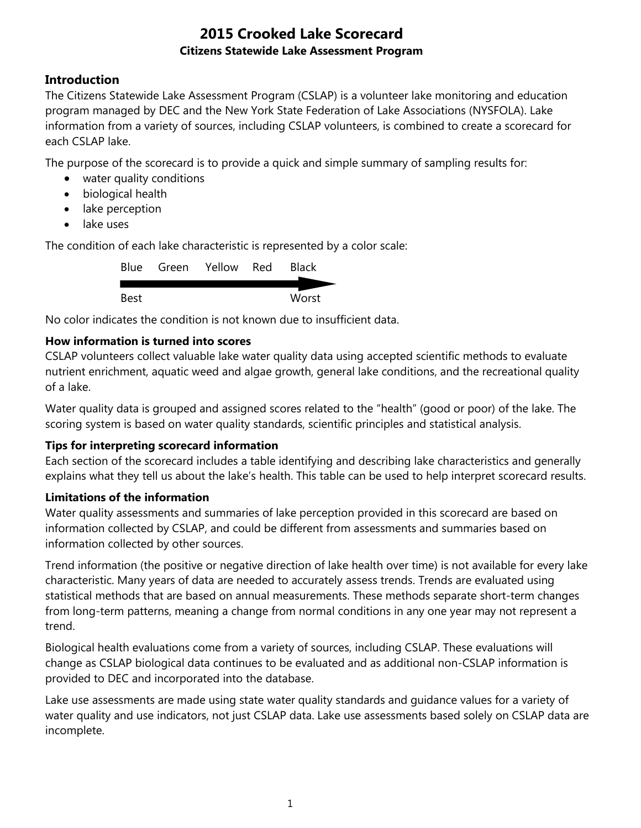## **Introduction**

The Citizens Statewide Lake Assessment Program (CSLAP) is a volunteer lake monitoring and education program managed by DEC and the New York State Federation of Lake Associations (NYSFOLA). Lake information from a variety of sources, including CSLAP volunteers, is combined to create a scorecard for each CSLAP lake.

The purpose of the scorecard is to provide a quick and simple summary of sampling results for:

- water quality conditions
- biological health
- lake perception
- lake uses

The condition of each lake characteristic is represented by a color scale:

|      | Blue Green Yellow Red | <b>Black</b> |
|------|-----------------------|--------------|
|      |                       |              |
| Best |                       | Worst        |

No color indicates the condition is not known due to insufficient data.

## **How information is turned into scores**

CSLAP volunteers collect valuable lake water quality data using accepted scientific methods to evaluate nutrient enrichment, aquatic weed and algae growth, general lake conditions, and the recreational quality of a lake.

Water quality data is grouped and assigned scores related to the "health" (good or poor) of the lake. The scoring system is based on water quality standards, scientific principles and statistical analysis.

### **Tips for interpreting scorecard information**

Each section of the scorecard includes a table identifying and describing lake characteristics and generally explains what they tell us about the lake's health. This table can be used to help interpret scorecard results.

### **Limitations of the information**

Water quality assessments and summaries of lake perception provided in this scorecard are based on information collected by CSLAP, and could be different from assessments and summaries based on information collected by other sources.

Trend information (the positive or negative direction of lake health over time) is not available for every lake characteristic. Many years of data are needed to accurately assess trends. Trends are evaluated using statistical methods that are based on annual measurements. These methods separate short-term changes from long-term patterns, meaning a change from normal conditions in any one year may not represent a trend.

Biological health evaluations come from a variety of sources, including CSLAP. These evaluations will change as CSLAP biological data continues to be evaluated and as additional non-CSLAP information is provided to DEC and incorporated into the database.

Lake use assessments are made using state water quality standards and guidance values for a variety of water quality and use indicators, not just CSLAP data. Lake use assessments based solely on CSLAP data are incomplete.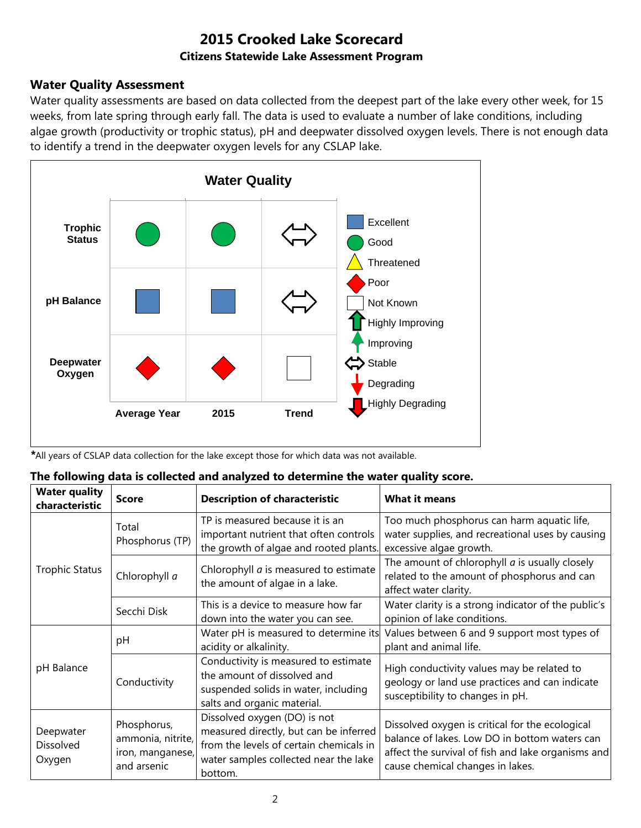## **Water Quality Assessment**

Water quality assessments are based on data collected from the deepest part of the lake every other week, for 15 weeks, from late spring through early fall. The data is used to evaluate a number of lake conditions, including algae growth (productivity or trophic status), pH and deepwater dissolved oxygen levels. There is not enough data to identify a trend in the deepwater oxygen levels for any CSLAP lake.



*\**All years of CSLAP data collection for the lake except those for which data was not available.

| The following data is collected and analyzed to determine the water quality score. |  |  |  |
|------------------------------------------------------------------------------------|--|--|--|
|                                                                                    |  |  |  |

| <b>Water quality</b><br>characteristic | <b>Score</b>                                                        | <b>Description of characteristic</b>                                                                                                                                  | <b>What it means</b>                                                                                                                                                                       |
|----------------------------------------|---------------------------------------------------------------------|-----------------------------------------------------------------------------------------------------------------------------------------------------------------------|--------------------------------------------------------------------------------------------------------------------------------------------------------------------------------------------|
|                                        | Total<br>Phosphorus (TP)                                            | TP is measured because it is an<br>important nutrient that often controls<br>the growth of algae and rooted plants.                                                   | Too much phosphorus can harm aquatic life,<br>water supplies, and recreational uses by causing<br>excessive algae growth.                                                                  |
| <b>Trophic Status</b>                  | Chlorophyll a                                                       | Chlorophyll <i>a</i> is measured to estimate<br>the amount of algae in a lake.                                                                                        | The amount of chlorophyll $a$ is usually closely<br>related to the amount of phosphorus and can<br>affect water clarity.                                                                   |
|                                        | Secchi Disk                                                         | This is a device to measure how far<br>down into the water you can see.                                                                                               | Water clarity is a strong indicator of the public's<br>opinion of lake conditions.                                                                                                         |
|                                        | рH                                                                  | Water pH is measured to determine its<br>acidity or alkalinity.                                                                                                       | Values between 6 and 9 support most types of<br>plant and animal life.                                                                                                                     |
| pH Balance                             | Conductivity                                                        | Conductivity is measured to estimate<br>the amount of dissolved and<br>suspended solids in water, including<br>salts and organic material.                            | High conductivity values may be related to<br>geology or land use practices and can indicate<br>susceptibility to changes in pH.                                                           |
| Deepwater<br>Dissolved<br>Oxygen       | Phosphorus,<br>ammonia, nitrite,<br>iron, manganese,<br>and arsenic | Dissolved oxygen (DO) is not<br>measured directly, but can be inferred<br>from the levels of certain chemicals in<br>water samples collected near the lake<br>bottom. | Dissolved oxygen is critical for the ecological<br>balance of lakes. Low DO in bottom waters can<br>affect the survival of fish and lake organisms and<br>cause chemical changes in lakes. |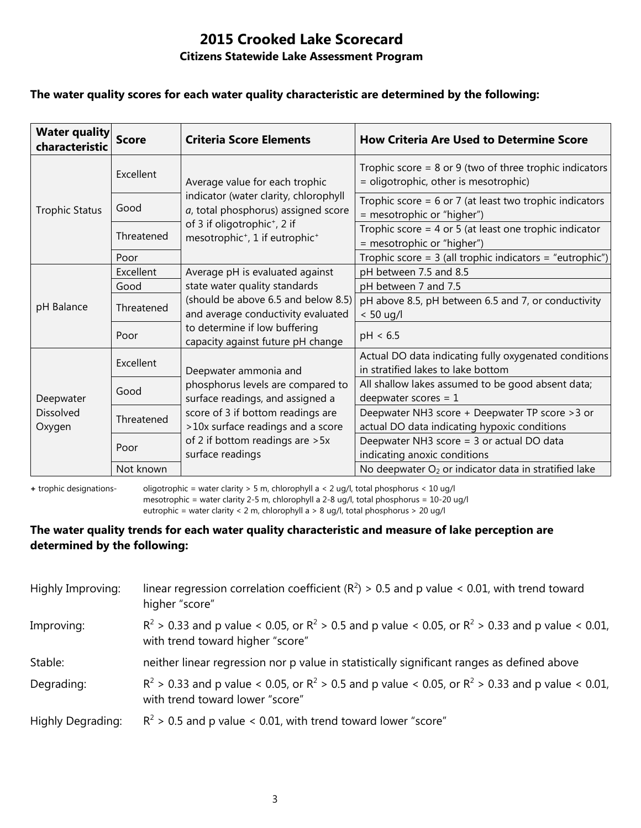#### **The water quality scores for each water quality characteristic are determined by the following:**

| <b>Water quality</b><br>characteristic  | <b>Score</b> | <b>Criteria Score Elements</b>                                                                     | <b>How Criteria Are Used to Determine Score</b>                                                      |  |
|-----------------------------------------|--------------|----------------------------------------------------------------------------------------------------|------------------------------------------------------------------------------------------------------|--|
|                                         | Excellent    | Average value for each trophic                                                                     | Trophic score = $8$ or $9$ (two of three trophic indicators<br>= oligotrophic, other is mesotrophic) |  |
| <b>Trophic Status</b>                   | Good         | indicator (water clarity, chlorophyll<br>a, total phosphorus) assigned score                       | Trophic score = $6$ or 7 (at least two trophic indicators<br>= mesotrophic or "higher")              |  |
|                                         | Threatened   | of 3 if oligotrophic <sup>+</sup> , 2 if<br>mesotrophic <sup>+</sup> , 1 if eutrophic <sup>+</sup> | Trophic score = $4$ or $5$ (at least one trophic indicator<br>= mesotrophic or "higher")             |  |
|                                         | Poor         |                                                                                                    | Trophic score = $3$ (all trophic indicators = "eutrophic")                                           |  |
|                                         | Excellent    | Average pH is evaluated against                                                                    | pH between 7.5 and 8.5                                                                               |  |
|                                         | Good         | state water quality standards                                                                      | pH between 7 and 7.5                                                                                 |  |
| pH Balance                              | Threatened   | (should be above 6.5 and below 8.5)<br>and average conductivity evaluated                          | pH above 8.5, pH between 6.5 and 7, or conductivity<br>$< 50$ ug/l                                   |  |
|                                         | Poor         | to determine if low buffering<br>capacity against future pH change                                 | pH < 6.5                                                                                             |  |
| Deepwater<br><b>Dissolved</b><br>Oxygen | Excellent    | Deepwater ammonia and                                                                              | Actual DO data indicating fully oxygenated conditions<br>in stratified lakes to lake bottom          |  |
|                                         | Good         | phosphorus levels are compared to<br>surface readings, and assigned a                              | All shallow lakes assumed to be good absent data;<br>deepwater scores = $1$                          |  |
|                                         | Threatened   | score of 3 if bottom readings are<br>>10x surface readings and a score                             | Deepwater NH3 score + Deepwater TP score > 3 or<br>actual DO data indicating hypoxic conditions      |  |
|                                         | Poor         | of 2 if bottom readings are > 5x<br>surface readings                                               | Deepwater NH3 score = 3 or actual DO data<br>indicating anoxic conditions                            |  |
|                                         | Not known    |                                                                                                    | No deepwater $O_2$ or indicator data in stratified lake                                              |  |

**+** trophic designations- oligotrophic = water clarity > 5 m, chlorophyll a < 2 ug/l, total phosphorus < 10 ug/l mesotrophic = water clarity 2-5 m, chlorophyll a 2-8 ug/l, total phosphorus = 10-20 ug/l

eutrophic = water clarity < 2 m, chlorophyll a > 8 ug/l, total phosphorus > 20 ug/l

### **The water quality trends for each water quality characteristic and measure of lake perception are determined by the following:**

| Highly Improving: | linear regression correlation coefficient ( $R^2$ ) > 0.5 and p value < 0.01, with trend toward<br>higher "score"                           |
|-------------------|---------------------------------------------------------------------------------------------------------------------------------------------|
| Improving:        | $R^2 > 0.33$ and p value < 0.05, or $R^2 > 0.5$ and p value < 0.05, or $R^2 > 0.33$ and p value < 0.01,<br>with trend toward higher "score" |
| Stable:           | neither linear regression nor p value in statistically significant ranges as defined above                                                  |
| Degrading:        | $R^2 > 0.33$ and p value < 0.05, or $R^2 > 0.5$ and p value < 0.05, or $R^2 > 0.33$ and p value < 0.01,<br>with trend toward lower "score"  |
| Highly Degrading: | $R^2$ > 0.5 and p value < 0.01, with trend toward lower "score"                                                                             |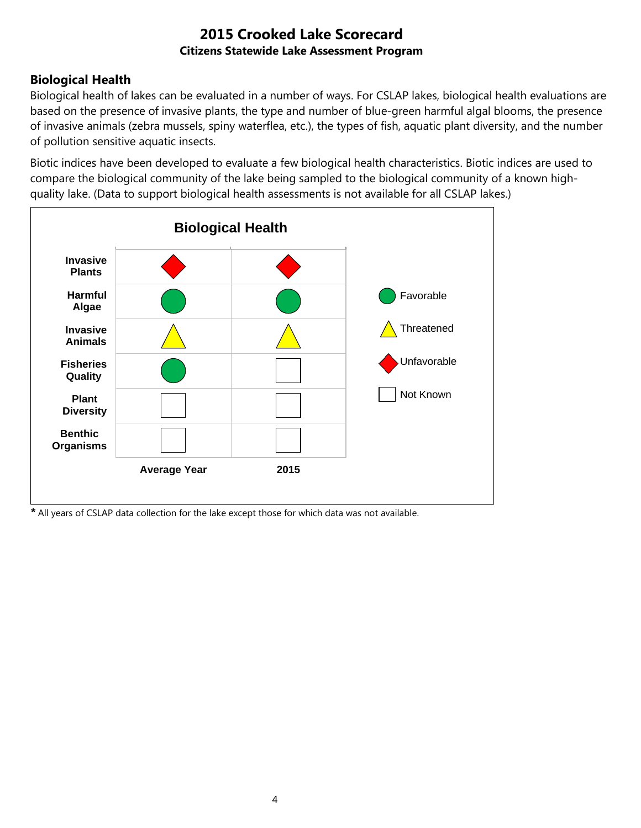## **Biological Health**

Biological health of lakes can be evaluated in a number of ways. For CSLAP lakes, biological health evaluations are based on the presence of invasive plants, the type and number of blue-green harmful algal blooms, the presence of invasive animals (zebra mussels, spiny waterflea, etc.), the types of fish, aquatic plant diversity, and the number of pollution sensitive aquatic insects.

Biotic indices have been developed to evaluate a few biological health characteristics. Biotic indices are used to compare the biological community of the lake being sampled to the biological community of a known highquality lake. (Data to support biological health assessments is not available for all CSLAP lakes.)



*\** All years of CSLAP data collection for the lake except those for which data was not available.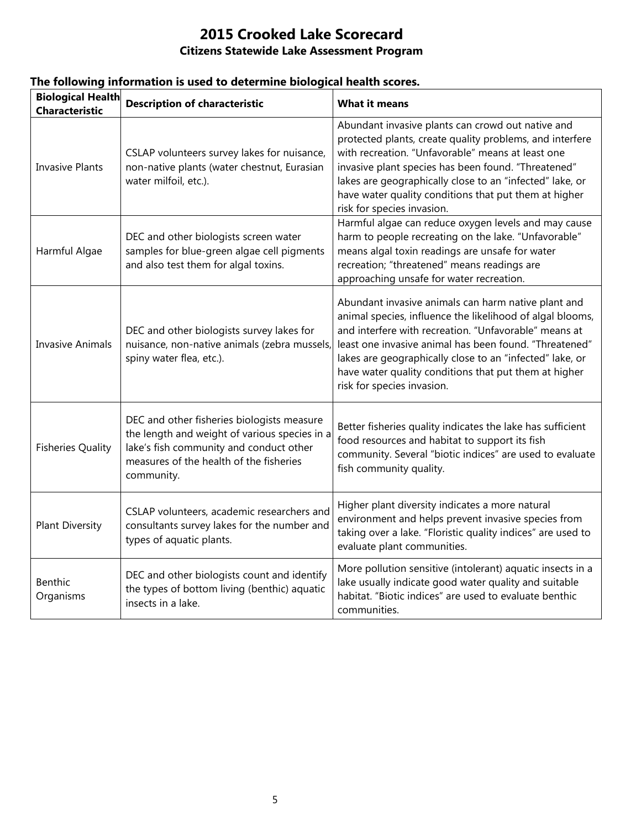| <b>Biological Health</b><br><b>Characteristic</b> | <b>Description of characteristic</b>                                                                                                                                                            | <b>What it means</b>                                                                                                                                                                                                                                                                                                                                                                   |
|---------------------------------------------------|-------------------------------------------------------------------------------------------------------------------------------------------------------------------------------------------------|----------------------------------------------------------------------------------------------------------------------------------------------------------------------------------------------------------------------------------------------------------------------------------------------------------------------------------------------------------------------------------------|
| <b>Invasive Plants</b>                            | CSLAP volunteers survey lakes for nuisance,<br>non-native plants (water chestnut, Eurasian<br>water milfoil, etc.).                                                                             | Abundant invasive plants can crowd out native and<br>protected plants, create quality problems, and interfere<br>with recreation. "Unfavorable" means at least one<br>invasive plant species has been found. "Threatened"<br>lakes are geographically close to an "infected" lake, or<br>have water quality conditions that put them at higher<br>risk for species invasion.           |
| Harmful Algae                                     | DEC and other biologists screen water<br>samples for blue-green algae cell pigments<br>and also test them for algal toxins.                                                                     | Harmful algae can reduce oxygen levels and may cause<br>harm to people recreating on the lake. "Unfavorable"<br>means algal toxin readings are unsafe for water<br>recreation; "threatened" means readings are<br>approaching unsafe for water recreation.                                                                                                                             |
| <b>Invasive Animals</b>                           | DEC and other biologists survey lakes for<br>nuisance, non-native animals (zebra mussels,<br>spiny water flea, etc.).                                                                           | Abundant invasive animals can harm native plant and<br>animal species, influence the likelihood of algal blooms,<br>and interfere with recreation. "Unfavorable" means at<br>least one invasive animal has been found. "Threatened"<br>lakes are geographically close to an "infected" lake, or<br>have water quality conditions that put them at higher<br>risk for species invasion. |
| <b>Fisheries Quality</b>                          | DEC and other fisheries biologists measure<br>the length and weight of various species in a<br>lake's fish community and conduct other<br>measures of the health of the fisheries<br>community. | Better fisheries quality indicates the lake has sufficient<br>food resources and habitat to support its fish<br>community. Several "biotic indices" are used to evaluate<br>fish community quality.                                                                                                                                                                                    |
| <b>Plant Diversity</b>                            | CSLAP volunteers, academic researchers and<br>consultants survey lakes for the number and<br>types of aquatic plants.                                                                           | Higher plant diversity indicates a more natural<br>environment and helps prevent invasive species from<br>taking over a lake. "Floristic quality indices" are used to<br>evaluate plant communities.                                                                                                                                                                                   |
| Benthic<br>Organisms                              | DEC and other biologists count and identify<br>the types of bottom living (benthic) aquatic<br>insects in a lake.                                                                               | More pollution sensitive (intolerant) aquatic insects in a<br>lake usually indicate good water quality and suitable<br>habitat. "Biotic indices" are used to evaluate benthic<br>communities.                                                                                                                                                                                          |

## **The following information is used to determine biological health scores.**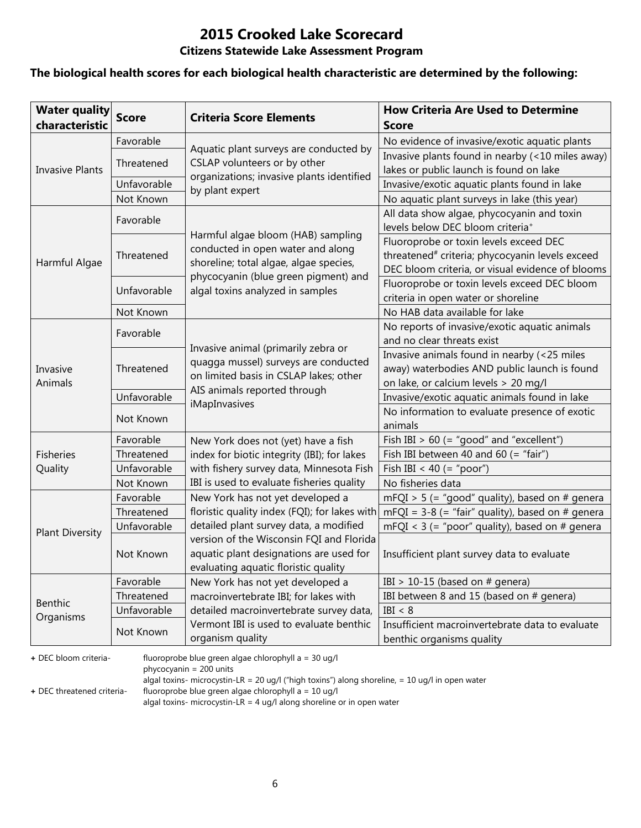# **2015 Crooked Lake Scorecard**

## **Citizens Statewide Lake Assessment Program**

### **The biological health scores for each biological health characteristic are determined by the following:**

| <b>Water quality</b><br>characteristic | <b>Score</b> | <b>Criteria Score Elements</b>                                                                                              | <b>How Criteria Are Used to Determine</b><br><b>Score</b>                                                                                                 |
|----------------------------------------|--------------|-----------------------------------------------------------------------------------------------------------------------------|-----------------------------------------------------------------------------------------------------------------------------------------------------------|
|                                        | Favorable    |                                                                                                                             | No evidence of invasive/exotic aquatic plants                                                                                                             |
|                                        | Threatened   | Aquatic plant surveys are conducted by<br>CSLAP volunteers or by other                                                      | Invasive plants found in nearby (<10 miles away)                                                                                                          |
| <b>Invasive Plants</b>                 |              | organizations; invasive plants identified                                                                                   | lakes or public launch is found on lake                                                                                                                   |
|                                        | Unfavorable  | by plant expert                                                                                                             | Invasive/exotic aquatic plants found in lake                                                                                                              |
|                                        | Not Known    |                                                                                                                             | No aquatic plant surveys in lake (this year)                                                                                                              |
|                                        | Favorable    |                                                                                                                             | All data show algae, phycocyanin and toxin<br>levels below DEC bloom criteria <sup>+</sup>                                                                |
| Harmful Algae                          | Threatened   | Harmful algae bloom (HAB) sampling<br>conducted in open water and along<br>shoreline; total algae, algae species,           | Fluoroprobe or toxin levels exceed DEC<br>threatened <sup>#</sup> criteria; phycocyanin levels exceed<br>DEC bloom criteria, or visual evidence of blooms |
|                                        | Unfavorable  | phycocyanin (blue green pigment) and<br>algal toxins analyzed in samples                                                    | Fluoroprobe or toxin levels exceed DEC bloom<br>criteria in open water or shoreline                                                                       |
|                                        | Not Known    |                                                                                                                             | No HAB data available for lake                                                                                                                            |
|                                        | Favorable    |                                                                                                                             | No reports of invasive/exotic aquatic animals                                                                                                             |
|                                        |              | Invasive animal (primarily zebra or                                                                                         | and no clear threats exist                                                                                                                                |
| Invasive<br>Animals                    | Threatened   | quagga mussel) surveys are conducted<br>on limited basis in CSLAP lakes; other                                              | Invasive animals found in nearby (<25 miles<br>away) waterbodies AND public launch is found<br>on lake, or calcium levels > 20 mg/l                       |
|                                        | Unfavorable  | AIS animals reported through                                                                                                | Invasive/exotic aquatic animals found in lake                                                                                                             |
|                                        | Not Known    | iMapInvasives                                                                                                               | No information to evaluate presence of exotic<br>animals                                                                                                  |
|                                        | Favorable    | New York does not (yet) have a fish                                                                                         | Fish IBI $> 60$ (= "good" and "excellent")                                                                                                                |
| <b>Fisheries</b>                       | Threatened   | index for biotic integrity (IBI); for lakes                                                                                 | Fish IBI between 40 and 60 (= "fair")                                                                                                                     |
| Quality                                | Unfavorable  | with fishery survey data, Minnesota Fish                                                                                    | Fish IBI < 40 (= "poor")                                                                                                                                  |
|                                        | Not Known    | IBI is used to evaluate fisheries quality                                                                                   | No fisheries data                                                                                                                                         |
|                                        | Favorable    | New York has not yet developed a                                                                                            | mFQI > 5 (= "good" quality), based on # genera                                                                                                            |
|                                        | Threatened   | floristic quality index (FQI); for lakes with                                                                               | mFQI = $3-8$ (= "fair" quality), based on # genera                                                                                                        |
| <b>Plant Diversity</b>                 | Unfavorable  | detailed plant survey data, a modified                                                                                      | mFQI < $3$ (= "poor" quality), based on # genera                                                                                                          |
|                                        | Not Known    | version of the Wisconsin FQI and Florida<br>aquatic plant designations are used for<br>evaluating aquatic floristic quality | Insufficient plant survey data to evaluate                                                                                                                |
|                                        | Favorable    | New York has not yet developed a                                                                                            | IBI > 10-15 (based on $#$ genera)                                                                                                                         |
| <b>Benthic</b>                         | Threatened   | macroinvertebrate IBI; for lakes with                                                                                       | IBI between 8 and 15 (based on # genera)                                                                                                                  |
|                                        | Unfavorable  | detailed macroinvertebrate survey data,                                                                                     | IBI < 8                                                                                                                                                   |
| Organisms                              | Not Known    | Vermont IBI is used to evaluate benthic<br>organism quality                                                                 | Insufficient macroinvertebrate data to evaluate<br>benthic organisms quality                                                                              |

**+** DEC bloom criteria- fluoroprobe blue green algae chlorophyll a = 30 ug/l

phycocyanin = 200 units

algal toxins- microcystin-LR = 20 ug/l ("high toxins") along shoreline, = 10 ug/l in open water

**+** DEC threatened criteria- fluoroprobe blue green algae chlorophyll a = 10 ug/l

algal toxins- microcystin-LR = 4 ug/l along shoreline or in open water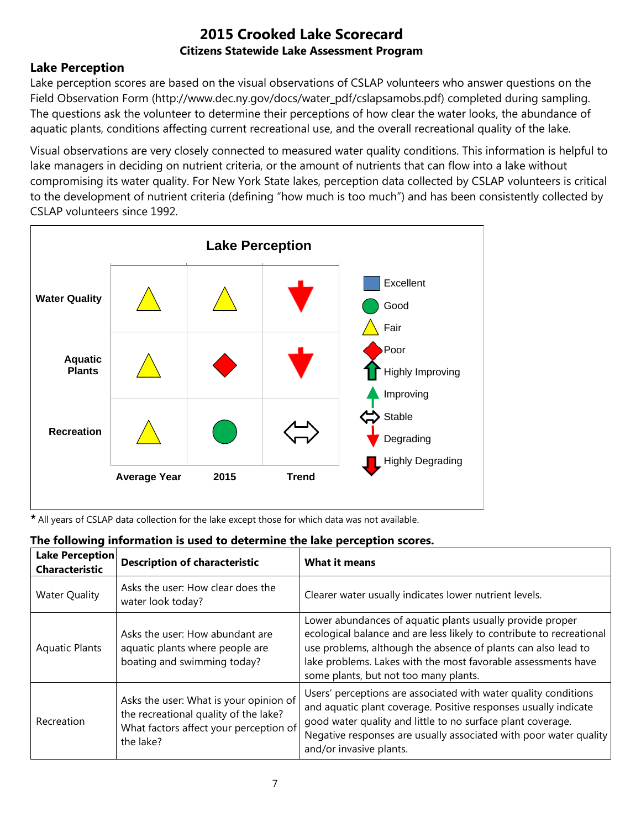## **Lake Perception**

Lake perception scores are based on the visual observations of CSLAP volunteers who answer questions on the Field Observation Form (http://www.dec.ny.gov/docs/water\_pdf/cslapsamobs.pdf) completed during sampling. The questions ask the volunteer to determine their perceptions of how clear the water looks, the abundance of aquatic plants, conditions affecting current recreational use, and the overall recreational quality of the lake.

Visual observations are very closely connected to measured water quality conditions. This information is helpful to lake managers in deciding on nutrient criteria, or the amount of nutrients that can flow into a lake without compromising its water quality. For New York State lakes, perception data collected by CSLAP volunteers is critical to the development of nutrient criteria (defining "how much is too much") and has been consistently collected by CSLAP volunteers since 1992.



*\** All years of CSLAP data collection for the lake except those for which data was not available.

|  | The following information is used to determine the lake perception scores. |  |  |
|--|----------------------------------------------------------------------------|--|--|
|  |                                                                            |  |  |

| Lake Perception<br><b>Characteristic</b> | <b>Description of characteristic</b>                                                                                                   | <b>What it means</b>                                                                                                                                                                                                                                                                                         |
|------------------------------------------|----------------------------------------------------------------------------------------------------------------------------------------|--------------------------------------------------------------------------------------------------------------------------------------------------------------------------------------------------------------------------------------------------------------------------------------------------------------|
| <b>Water Quality</b>                     | Asks the user: How clear does the<br>water look today?                                                                                 | Clearer water usually indicates lower nutrient levels.                                                                                                                                                                                                                                                       |
| <b>Aquatic Plants</b>                    | Asks the user: How abundant are<br>aquatic plants where people are<br>boating and swimming today?                                      | Lower abundances of aquatic plants usually provide proper<br>ecological balance and are less likely to contribute to recreational<br>use problems, although the absence of plants can also lead to<br>lake problems. Lakes with the most favorable assessments have<br>some plants, but not too many plants. |
| Recreation                               | Asks the user: What is your opinion of<br>the recreational quality of the lake?<br>What factors affect your perception of<br>the lake? | Users' perceptions are associated with water quality conditions<br>and aquatic plant coverage. Positive responses usually indicate<br>good water quality and little to no surface plant coverage.<br>Negative responses are usually associated with poor water quality<br>and/or invasive plants.            |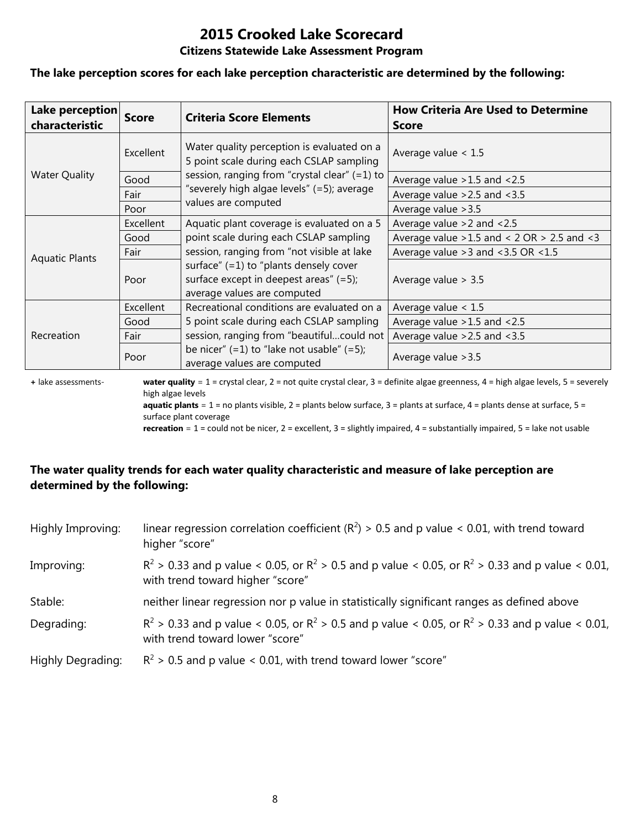# **2015 Crooked Lake Scorecard**

#### **Citizens Statewide Lake Assessment Program**

#### **The lake perception scores for each lake perception characteristic are determined by the following:**

| Lake perception<br>characteristic | <b>Score</b> | <b>Criteria Score Elements</b>                                                                                       | <b>How Criteria Are Used to Determine</b><br><b>Score</b> |  |
|-----------------------------------|--------------|----------------------------------------------------------------------------------------------------------------------|-----------------------------------------------------------|--|
|                                   | Excellent    | Water quality perception is evaluated on a<br>5 point scale during each CSLAP sampling                               | Average value $< 1.5$                                     |  |
| <b>Water Quality</b>              | Good         | session, ranging from "crystal clear" $(=1)$ to                                                                      | Average value > 1.5 and < 2.5                             |  |
|                                   | Fair         | "severely high algae levels" (=5); average                                                                           | Average value $>2.5$ and $<3.5$                           |  |
|                                   | Poor         | values are computed                                                                                                  | Average value > 3.5                                       |  |
|                                   | Excellent    | Aquatic plant coverage is evaluated on a 5                                                                           | Average value $>2$ and $< 2.5$                            |  |
|                                   | Good         | point scale during each CSLAP sampling                                                                               | Average value $>1.5$ and < 2 OR $> 2.5$ and < 3           |  |
| <b>Aquatic Plants</b>             | Fair         | session, ranging from "not visible at lake                                                                           | Average value $>3$ and $<3.5$ OR $<1.5$                   |  |
|                                   | Poor         | surface" $(=1)$ to "plants densely cover<br>surface except in deepest areas" $(=5)$ ;<br>average values are computed | Average value $> 3.5$                                     |  |
|                                   | Excellent    | Recreational conditions are evaluated on a                                                                           | Average value $< 1.5$                                     |  |
| Recreation                        | Good         | 5 point scale during each CSLAP sampling                                                                             | Average value $>1.5$ and $<2.5$                           |  |
|                                   | Fair         | session, ranging from "beautifulcould not                                                                            | Average value $>2.5$ and $<3.5$                           |  |
|                                   | Poor         | be nicer" $(=1)$ to "lake not usable" $(=5)$ ;<br>average values are computed                                        | Average value > 3.5                                       |  |

**+** lake assessments- **water quality** = 1 = crystal clear, 2 = not quite crystal clear, 3 = definite algae greenness, 4 = high algae levels, 5 = severely high algae levels **aquatic plants** = 1 = no plants visible, 2 = plants below surface, 3 = plants at surface, 4 = plants dense at surface, 5 =

surface plant coverage

**recreation** = 1 = could not be nicer, 2 = excellent, 3 = slightly impaired, 4 = substantially impaired, 5 = lake not usable

## **The water quality trends for each water quality characteristic and measure of lake perception are determined by the following:**

| Highly Improving: | linear regression correlation coefficient ( $R^2$ ) > 0.5 and p value < 0.01, with trend toward<br>higher "score"                           |
|-------------------|---------------------------------------------------------------------------------------------------------------------------------------------|
| Improving:        | $R^2 > 0.33$ and p value < 0.05, or $R^2 > 0.5$ and p value < 0.05, or $R^2 > 0.33$ and p value < 0.01,<br>with trend toward higher "score" |
| Stable:           | neither linear regression nor p value in statistically significant ranges as defined above                                                  |
| Degrading:        | $R^2$ > 0.33 and p value < 0.05, or $R^2$ > 0.5 and p value < 0.05, or $R^2$ > 0.33 and p value < 0.01,<br>with trend toward lower "score"  |
| Highly Degrading: | $R^2$ > 0.5 and p value < 0.01, with trend toward lower "score"                                                                             |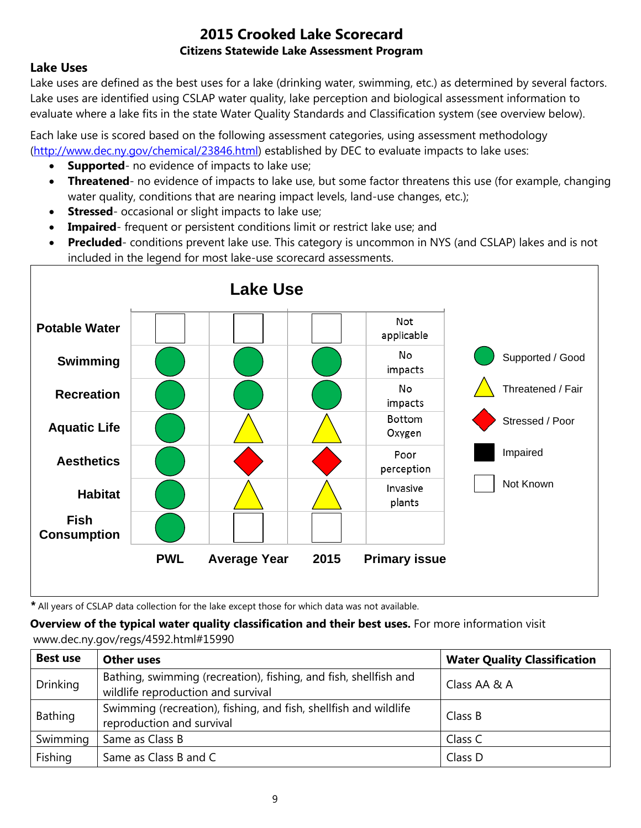## **Lake Uses**

Lake uses are defined as the best uses for a lake (drinking water, swimming, etc.) as determined by several factors. Lake uses are identified using CSLAP water quality, lake perception and biological assessment information to evaluate where a lake fits in the state Water Quality Standards and Classification system (see overview below).

Each lake use is scored based on the following assessment categories, using assessment methodology [\(http://www.dec.ny.gov/chemical/23846.html\)](http://www.dec.ny.gov/chemical/23846.html) established by DEC to evaluate impacts to lake uses:

- **Supported** no evidence of impacts to lake use;
- **Threatened** no evidence of impacts to lake use, but some factor threatens this use (for example, changing water quality, conditions that are nearing impact levels, land-use changes, etc.);
- **Stressed** occasional or slight impacts to lake use;
- **Impaired** frequent or persistent conditions limit or restrict lake use; and
- **Precluded** conditions prevent lake use. This category is uncommon in NYS (and CSLAP) lakes and is not included in the legend for most lake-use scorecard assessments.



*\** All years of CSLAP data collection for the lake except those for which data was not available.

**Overview of the typical water quality classification and their best uses.** For more information visit www.dec.ny.gov/regs/4592.html#15990

| <b>Best use</b> | <b>Other uses</b>                                                                                      | <b>Water Quality Classification</b> |
|-----------------|--------------------------------------------------------------------------------------------------------|-------------------------------------|
| <b>Drinking</b> | Bathing, swimming (recreation), fishing, and fish, shellfish and<br>wildlife reproduction and survival | Class AA & A                        |
| Bathing         | Swimming (recreation), fishing, and fish, shellfish and wildlife<br>reproduction and survival          | Class B                             |
| Swimming        | Same as Class B                                                                                        | Class C                             |
| Fishing         | Same as Class B and C                                                                                  | Class D                             |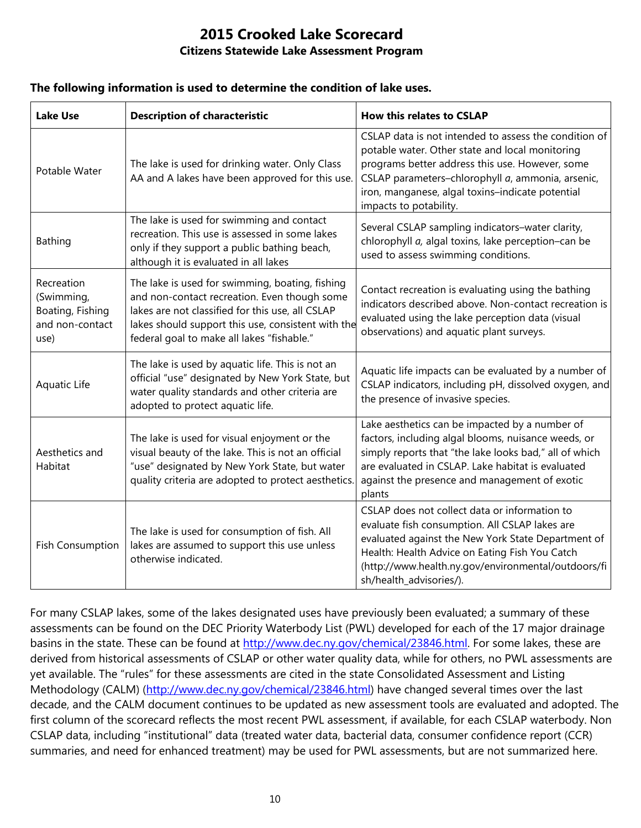#### **The following information is used to determine the condition of lake uses.**

| <b>Lake Use</b>                                                         | <b>Description of characteristic</b>                                                                                                                                                                                                                    | <b>How this relates to CSLAP</b>                                                                                                                                                                                                                                                               |  |
|-------------------------------------------------------------------------|---------------------------------------------------------------------------------------------------------------------------------------------------------------------------------------------------------------------------------------------------------|------------------------------------------------------------------------------------------------------------------------------------------------------------------------------------------------------------------------------------------------------------------------------------------------|--|
| Potable Water                                                           | The lake is used for drinking water. Only Class<br>AA and A lakes have been approved for this use.                                                                                                                                                      | CSLAP data is not intended to assess the condition of<br>potable water. Other state and local monitoring<br>programs better address this use. However, some<br>CSLAP parameters-chlorophyll a, ammonia, arsenic,<br>iron, manganese, algal toxins-indicate potential<br>impacts to potability. |  |
| Bathing                                                                 | The lake is used for swimming and contact<br>recreation. This use is assessed in some lakes<br>only if they support a public bathing beach,<br>although it is evaluated in all lakes                                                                    | Several CSLAP sampling indicators-water clarity,<br>chlorophyll a, algal toxins, lake perception-can be<br>used to assess swimming conditions.                                                                                                                                                 |  |
| Recreation<br>(Swimming,<br>Boating, Fishing<br>and non-contact<br>use) | The lake is used for swimming, boating, fishing<br>and non-contact recreation. Even though some<br>lakes are not classified for this use, all CSLAP<br>lakes should support this use, consistent with the<br>federal goal to make all lakes "fishable." | Contact recreation is evaluating using the bathing<br>indicators described above. Non-contact recreation is<br>evaluated using the lake perception data (visual<br>observations) and aquatic plant surveys.                                                                                    |  |
| Aquatic Life                                                            | The lake is used by aquatic life. This is not an<br>official "use" designated by New York State, but<br>water quality standards and other criteria are<br>adopted to protect aquatic life.                                                              | Aquatic life impacts can be evaluated by a number of<br>CSLAP indicators, including pH, dissolved oxygen, and<br>the presence of invasive species.                                                                                                                                             |  |
| Aesthetics and<br>Habitat                                               | The lake is used for visual enjoyment or the<br>visual beauty of the lake. This is not an official<br>"use" designated by New York State, but water<br>quality criteria are adopted to protect aesthetics.                                              | Lake aesthetics can be impacted by a number of<br>factors, including algal blooms, nuisance weeds, or<br>simply reports that "the lake looks bad," all of which<br>are evaluated in CSLAP. Lake habitat is evaluated<br>against the presence and management of exotic<br>plants                |  |
| <b>Fish Consumption</b>                                                 | The lake is used for consumption of fish. All<br>lakes are assumed to support this use unless<br>otherwise indicated.                                                                                                                                   | CSLAP does not collect data or information to<br>evaluate fish consumption. All CSLAP lakes are<br>evaluated against the New York State Department of<br>Health: Health Advice on Eating Fish You Catch<br>(http://www.health.ny.gov/environmental/outdoors/fi<br>sh/health_advisories/).      |  |

For many CSLAP lakes, some of the lakes designated uses have previously been evaluated; a summary of these assessments can be found on the DEC Priority Waterbody List (PWL) developed for each of the 17 major drainage basins in the state. These can be found at [http://www.dec.ny.gov/chemical/23846.html.](http://www.dec.ny.gov/chemical/23846.html) For some lakes, these are derived from historical assessments of CSLAP or other water quality data, while for others, no PWL assessments are yet available. The "rules" for these assessments are cited in the state Consolidated Assessment and Listing Methodology (CALM) [\(http://www.dec.ny.gov/chemical/23846.html\)](http://www.dec.ny.gov/chemical/23846.html) have changed several times over the last decade, and the CALM document continues to be updated as new assessment tools are evaluated and adopted. The first column of the scorecard reflects the most recent PWL assessment, if available, for each CSLAP waterbody. Non CSLAP data, including "institutional" data (treated water data, bacterial data, consumer confidence report (CCR) summaries, and need for enhanced treatment) may be used for PWL assessments, but are not summarized here.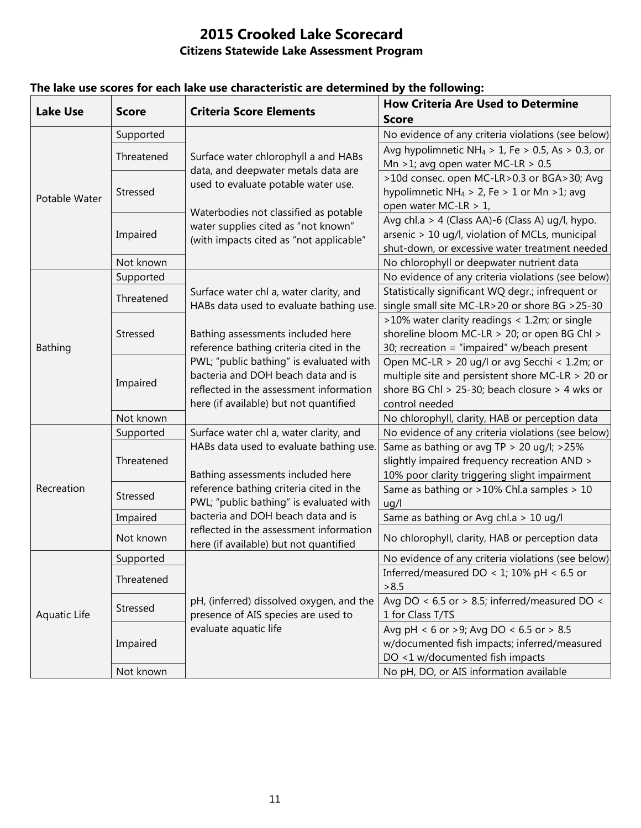| <b>Lake Use</b> | <b>Score</b>    | <b>Criteria Score Elements</b>                                                                                     | <b>How Criteria Are Used to Determine</b>                    |
|-----------------|-----------------|--------------------------------------------------------------------------------------------------------------------|--------------------------------------------------------------|
|                 |                 |                                                                                                                    | <b>Score</b>                                                 |
| Potable Water   | Supported       | Surface water chlorophyll a and HABs<br>data, and deepwater metals data are<br>used to evaluate potable water use. | No evidence of any criteria violations (see below)           |
|                 | Threatened      |                                                                                                                    | Avg hypolimnetic NH <sub>4</sub> > 1, Fe > 0.5, As > 0.3, or |
|                 |                 |                                                                                                                    | Mn > 1; avg open water MC-LR > $0.5$                         |
|                 | Stressed        |                                                                                                                    | >10d consec. open MC-LR>0.3 or BGA>30; Avg                   |
|                 |                 |                                                                                                                    | hypolimnetic NH <sub>4</sub> > 2, Fe > 1 or Mn > 1; avg      |
|                 |                 | Waterbodies not classified as potable                                                                              | open water MC-LR > 1,                                        |
|                 | Impaired        | water supplies cited as "not known"<br>(with impacts cited as "not applicable"                                     | Avg chl.a > 4 (Class AA)-6 (Class A) ug/l, hypo.             |
|                 |                 |                                                                                                                    | arsenic > 10 ug/l, violation of MCLs, municipal              |
|                 |                 |                                                                                                                    | shut-down, or excessive water treatment needed               |
|                 | Not known       |                                                                                                                    | No chlorophyll or deepwater nutrient data                    |
|                 | Supported       |                                                                                                                    | No evidence of any criteria violations (see below)           |
|                 | Threatened      | Surface water chl a, water clarity, and                                                                            | Statistically significant WQ degr.; infrequent or            |
|                 |                 | HABs data used to evaluate bathing use.                                                                            | single small site MC-LR>20 or shore BG >25-30                |
|                 | Stressed        |                                                                                                                    | >10% water clarity readings < 1.2m; or single                |
|                 |                 | Bathing assessments included here                                                                                  | shoreline bloom MC-LR > 20; or open BG Chl >                 |
| <b>Bathing</b>  |                 | reference bathing criteria cited in the                                                                            | 30; recreation = "impaired" w/beach present                  |
|                 | Impaired        | PWL; "public bathing" is evaluated with                                                                            | Open MC-LR > 20 ug/l or avg Secchi < 1.2m; or                |
|                 |                 | bacteria and DOH beach data and is                                                                                 | multiple site and persistent shore MC-LR > 20 or             |
|                 |                 | reflected in the assessment information                                                                            | shore BG Chl > 25-30; beach closure > 4 wks or               |
|                 |                 | here (if available) but not quantified                                                                             | control needed                                               |
|                 | Not known       |                                                                                                                    | No chlorophyll, clarity, HAB or perception data              |
|                 | Supported       | Surface water chl a, water clarity, and                                                                            | No evidence of any criteria violations (see below)           |
|                 | Threatened      | HABs data used to evaluate bathing use.                                                                            | Same as bathing or avg TP > 20 ug/l; >25%                    |
|                 |                 |                                                                                                                    | slightly impaired frequency recreation AND >                 |
| Recreation      |                 | Bathing assessments included here                                                                                  | 10% poor clarity triggering slight impairment                |
|                 | Stressed        | reference bathing criteria cited in the                                                                            | Same as bathing or >10% Chl.a samples > 10                   |
|                 |                 | PWL; "public bathing" is evaluated with                                                                            | uq/l                                                         |
|                 | Impaired        | bacteria and DOH beach data and is                                                                                 | Same as bathing or Avg chl.a > 10 ug/l                       |
|                 | Not known       | reflected in the assessment information<br>here (if available) but not quantified                                  | No chlorophyll, clarity, HAB or perception data              |
|                 | Supported       |                                                                                                                    | No evidence of any criteria violations (see below)           |
|                 |                 |                                                                                                                    | Inferred/measured DO < 1; 10% pH < 6.5 or                    |
| Aquatic Life    | Threatened      |                                                                                                                    | > 8.5                                                        |
|                 | <b>Stressed</b> | pH, (inferred) dissolved oxygen, and the                                                                           | Avg DO < 6.5 or > 8.5; inferred/measured DO <                |
|                 |                 | presence of AIS species are used to                                                                                | 1 for Class T/TS                                             |
|                 | Impaired        | evaluate aquatic life                                                                                              | Avg pH < 6 or >9; Avg DO < 6.5 or > 8.5                      |
|                 |                 |                                                                                                                    | w/documented fish impacts; inferred/measured                 |
|                 |                 |                                                                                                                    | DO <1 w/documented fish impacts                              |
|                 | Not known       |                                                                                                                    | No pH, DO, or AIS information available                      |

## **The lake use scores for each lake use characteristic are determined by the following:**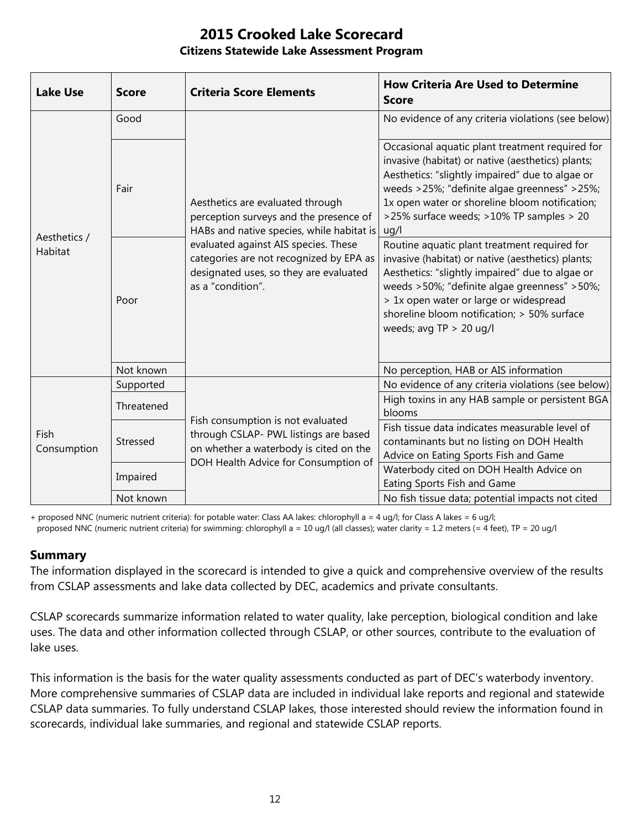| <b>Lake Use</b>         | <b>Score</b> | <b>Criteria Score Elements</b>                                                                                                                                                                                                                                            | <b>How Criteria Are Used to Determine</b><br><b>Score</b>                                                                                                                                                                                                                                                                  |
|-------------------------|--------------|---------------------------------------------------------------------------------------------------------------------------------------------------------------------------------------------------------------------------------------------------------------------------|----------------------------------------------------------------------------------------------------------------------------------------------------------------------------------------------------------------------------------------------------------------------------------------------------------------------------|
| Aesthetics /<br>Habitat | Good         | Aesthetics are evaluated through<br>perception surveys and the presence of<br>HABs and native species, while habitat is<br>evaluated against AIS species. These<br>categories are not recognized by EPA as<br>designated uses, so they are evaluated<br>as a "condition". | No evidence of any criteria violations (see below)                                                                                                                                                                                                                                                                         |
|                         | Fair         |                                                                                                                                                                                                                                                                           | Occasional aquatic plant treatment required for<br>invasive (habitat) or native (aesthetics) plants;<br>Aesthetics: "slightly impaired" due to algae or<br>weeds >25%; "definite algae greenness" >25%;<br>1x open water or shoreline bloom notification;<br>>25% surface weeds; >10% TP samples > 20<br>uq/l              |
|                         | Poor         |                                                                                                                                                                                                                                                                           | Routine aquatic plant treatment required for<br>invasive (habitat) or native (aesthetics) plants;<br>Aesthetics: "slightly impaired" due to algae or<br>weeds >50%; "definite algae greenness" >50%;<br>> 1x open water or large or widespread<br>shoreline bloom notification; > 50% surface<br>weeds; avg $TP > 20$ ug/l |
|                         | Not known    |                                                                                                                                                                                                                                                                           | No perception, HAB or AIS information                                                                                                                                                                                                                                                                                      |
| Fish<br>Consumption     | Supported    | Fish consumption is not evaluated<br>through CSLAP- PWL listings are based<br>on whether a waterbody is cited on the<br>DOH Health Advice for Consumption of                                                                                                              | No evidence of any criteria violations (see below)                                                                                                                                                                                                                                                                         |
|                         | Threatened   |                                                                                                                                                                                                                                                                           | High toxins in any HAB sample or persistent BGA<br>blooms                                                                                                                                                                                                                                                                  |
|                         | Stressed     |                                                                                                                                                                                                                                                                           | Fish tissue data indicates measurable level of<br>contaminants but no listing on DOH Health<br>Advice on Eating Sports Fish and Game                                                                                                                                                                                       |
|                         | Impaired     |                                                                                                                                                                                                                                                                           | Waterbody cited on DOH Health Advice on<br>Eating Sports Fish and Game                                                                                                                                                                                                                                                     |
|                         | Not known    |                                                                                                                                                                                                                                                                           | No fish tissue data; potential impacts not cited                                                                                                                                                                                                                                                                           |

+ proposed NNC (numeric nutrient criteria): for potable water: Class AA lakes: chlorophyll a = 4 ug/l; for Class A lakes = 6 ug/l; proposed NNC (numeric nutrient criteria) for swimming: chlorophyll a = 10 ug/l (all classes); water clarity = 1.2 meters (= 4 feet), TP = 20 ug/l

### **Summary**

The information displayed in the scorecard is intended to give a quick and comprehensive overview of the results from CSLAP assessments and lake data collected by DEC, academics and private consultants.

CSLAP scorecards summarize information related to water quality, lake perception, biological condition and lake uses. The data and other information collected through CSLAP, or other sources, contribute to the evaluation of lake uses.

This information is the basis for the water quality assessments conducted as part of DEC's waterbody inventory. More comprehensive summaries of CSLAP data are included in individual lake reports and regional and statewide CSLAP data summaries. To fully understand CSLAP lakes, those interested should review the information found in scorecards, individual lake summaries, and regional and statewide CSLAP reports.